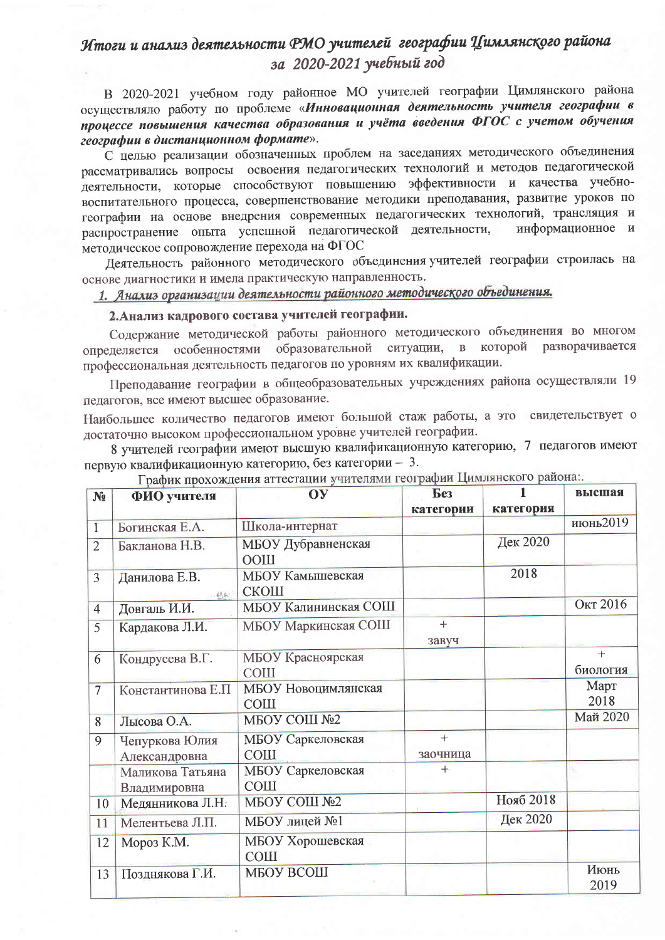## Итоги и анализ деятельности РМО учителей географии Цимлянского района за 2020-2021 учебный год

В 2020-2021 учебном году районное МО учителей географии Цимлянского района осуществляло работу по проблеме «Инновационная деятельность учителя географии в процессе повышения качества образования и учёта введения ФГОС с учетом обучения географии в дистанционном формате».

С целью реализации обозначенных проблем на заседаниях методического объединения рассматривались вопросы освоения педагогических технологий и методов педагогической деятельности, которые способствуют повышению эффективности и качества учебновоспитательного процесса, совершенствование методики преподавания, развитие уроков по географии на основе внедрения современных педагогических технологий, трансляция и распространение опыта успешной педагогической деятельности, информационное и методическое сопровождение перехода на ФГОС

Деятельность районного методического объединения учителей географии строилась на основе диагностики и имела практическую направленность.

1. Анализ организации деятельности районного методического объединения.

### 2. Анализ кадрового состава учителей географии.

Содержание методической работы районного методического объединения во многом в которой определяется особенностями образовательной ситуации, разворачивается профессиональная деятельность педагогов по уровням их квалификации.

Преподавание географии в общеобразовательных учреждениях района осуществляли 19 пелагогов, все имеют высшее образование.

Наибольшее количество педагогов имеют большой стаж работы, а это свидетельствует о достаточно высоком профессиональном уровне учителей географии.

8 учителей географии имеют высшую квалификационную категорию, 7 педагогов имеют первую квалификационную категорию, без категории - 3.

| $N_2$          | ФИО учителя                      | O <sub>X</sub>                      | <b><i><u>Be<sub>3</sub></u></i></b><br>категории | категория | высшая          |
|----------------|----------------------------------|-------------------------------------|--------------------------------------------------|-----------|-----------------|
| 1              | Богинская Е.А.                   | Школа-интернат                      |                                                  |           | июнь2019        |
| $\overline{2}$ | Бакланова Н.В.                   | МБОУ Дубравненская<br><b>OOIII</b>  |                                                  | Дек 2020  |                 |
| 3              | Данилова Е.В.<br>$d\partial_t L$ | МБОУ Камышевская<br>СКОШ            |                                                  | 2018      |                 |
| $\overline{4}$ | Довгаль И.И.                     | МБОУ Калининская СОШ                |                                                  |           | Окт 2016        |
| 5              | Кардакова Л.И.                   | МБОУ Маркинская СОШ                 | $^{+}$<br>завуч                                  |           |                 |
| 6              | Кондрусева В.Г.                  | МБОУ Красноярская<br><b>COLII</b>   |                                                  |           | $+$<br>биология |
| $\overline{7}$ | Константинова Е.П                | МБОУ Новоцимлянская<br><b>COIII</b> |                                                  |           | Март<br>2018    |
| 8              | Лысова О.А.                      | МБОУ СОШ №2                         |                                                  |           | Май 2020        |
| 9              | Чепуркова Юлия<br>Александровна  | МБОУ Саркеловская<br><b>COIII</b>   | $+$<br>заочница                                  |           |                 |
|                | Маликова Татьяна<br>Владимировна | МБОУ Саркеловская<br><b>СОШ</b>     | $^+$                                             |           |                 |
| 10             | Медянникова Л.Н.                 | МБОУ СОШ №2                         |                                                  | Нояб 2018 |                 |
| 11             | Мелентьева Л.П.                  | МБОУ лицей №1                       |                                                  | Дек 2020  |                 |
| 12             | Мороз К.М.                       | МБОУ Хорошевская<br><b>COII</b>     |                                                  |           |                 |
| 13             | Позднякова Г.И.                  | МБОУ ВСОШ                           |                                                  |           | Июнь<br>2019    |

График прохождения аттестации учителями географии Цимлянского района:.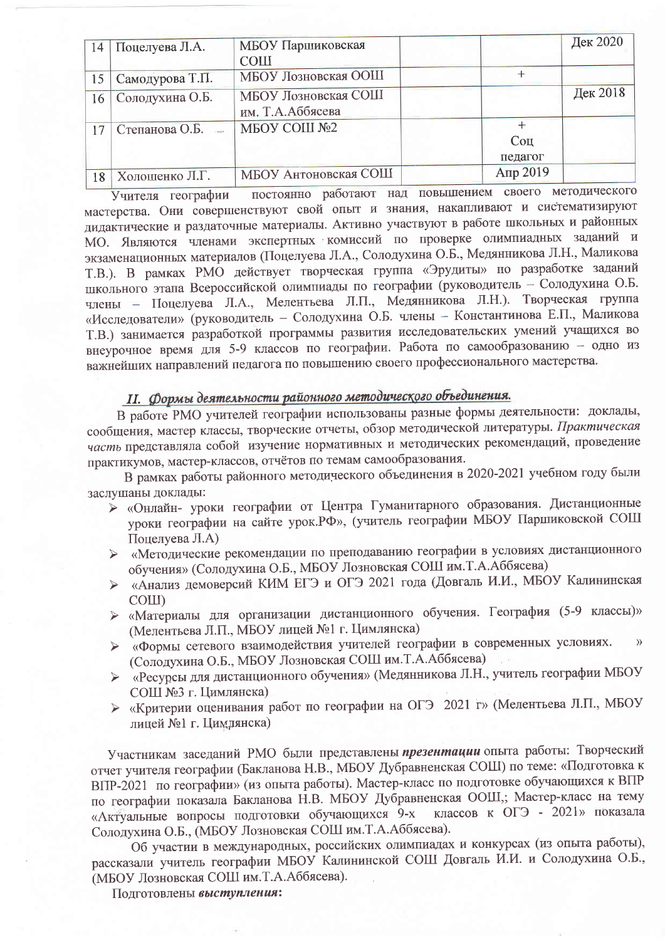|                 | 14 Поцелуева Л.А.  | МБОУ Паршиковская                       |                | Дек 2020 |
|-----------------|--------------------|-----------------------------------------|----------------|----------|
|                 |                    | <b>COII</b>                             |                |          |
| 15 <sup>7</sup> | Самодурова Т.П.    | МБОУ Лозновская ООШ                     |                |          |
|                 | 16 Солодухина О.Б. | МБОУ Лозновская СОШ<br>им. Т.А.Аббясева |                | Дек 2018 |
| 17              | Степанова О.Б. -   | МБОУ СОШ №2                             | Соц<br>педагог |          |
| 18              | Холошенко Л.Г.     | МБОУ Антоновская СОШ                    | Апр 2019       |          |

постоянно работают над повышением своего методического Учителя географии мастерства. Они совершенствуют свой опыт и знания, накапливают и систематизируют дидактические и раздаточные материалы. Активно участвуют в работе школьных и районных МО. Являются членами экспертных комиссий по проверке олимпиадных заданий и экзаменационных материалов (Поцелуева Л.А., Солодухина О.Б., Медянникова Л.Н., Маликова Т.В.). В рамках РМО действует творческая группа «Эрудиты» по разработке заданий школьного этапа Всероссийской олимпиады по географии (руководитель - Солодухина О.Б. члены - Поцелуева Л.А., Мелентьева Л.П., Медянникова Л.Н.). Творческая группа «Исследователи» (руководитель - Солодухина О.Б. члены - Константинова Е.П., Маликова Т.В.) занимается разработкой программы развития исследовательских умений учащихся во внеурочное время для 5-9 классов по географии. Работа по самообразованию - одно из важнейших направлений педагога по повышению своего профессионального мастерства.

## II. Формы деятельности районного методического объединения.

В работе РМО учителей географии использованы разные формы деятельности: доклады, сообщения, мастер классы, творческие отчеты, обзор методической литературы. Практическая часть представляла собой изучение нормативных и методических рекомендаций, проведение практикумов, мастер-классов, отчётов по темам самообразования.

В рамках работы районного методического объединения в 2020-2021 учебном году были заслушаны доклады:

- > «Онлайн- уроки географии от Центра Гуманитарного образования. Дистанционные уроки географии на сайте урок. РФ», (учитель географии МБОУ Паршиковской СОШ Поцелуева Л.А)
- > «Методические рекомендации по преподаванию географии в условиях дистанционного обучения» (Солодухина О.Б., МБОУ Лозновская СОШ им.Т.А.Аббясева)
- «Анализ демоверсий КИМ ЕГЭ и ОГЭ 2021 года (Довгаль И.И., МБОУ Калининская  $\blacktriangleright$ COIII)
- > «Материалы для организации дистанционного обучения. География (5-9 классы)» (Мелентьева Л.П., МБОУ лицей №1 г. Цимлянска)
- > «Формы сетевого взаимодействия учителей географии в современных условиях. (Солодухина О.Б., МБОУ Лозновская СОШ им.Т.А.Аббясева)
- «Ресурсы для дистанционного обучения» (Медянникова Л.Н., учитель географии МБОУ  $\blacktriangleright$ СОШ №3 г. Цимлянска)
- > «Критерии оценивания работ по географии на ОГЭ 2021 г» (Мелентьева Л.П., МБОУ лицей №1 г. Цимдянска)

Участникам заседаний РМО были представлены презентации опыта работы: Творческий отчет учителя географии (Бакланова Н.В., МБОУ Дубравненская СОШ) по теме: «Подготовка к ВПР-2021 по географии» (из опыта работы). Мастер-класс по подготовке обучающихся к ВПР по географии показала Бакланова Н.В. МБОУ Дубравненская ООШ,; Мастер-класс на тему классов к ОГЭ - 2021» показала «Актуальные вопросы подготовки обучающихся 9-х Солодухина О.Б., (МБОУ Лозновская СОШ им.Т.А.Аббясева).

Об участии в международных, российских олимпиадах и конкурсах (из опыта работы), рассказали учитель географии МБОУ Калининской СОШ Довгаль И.И. и Солодухина О.Б., (МБОУ Лозновская СОШ им.Т.А.Аббясева).

Подготовлены выступления: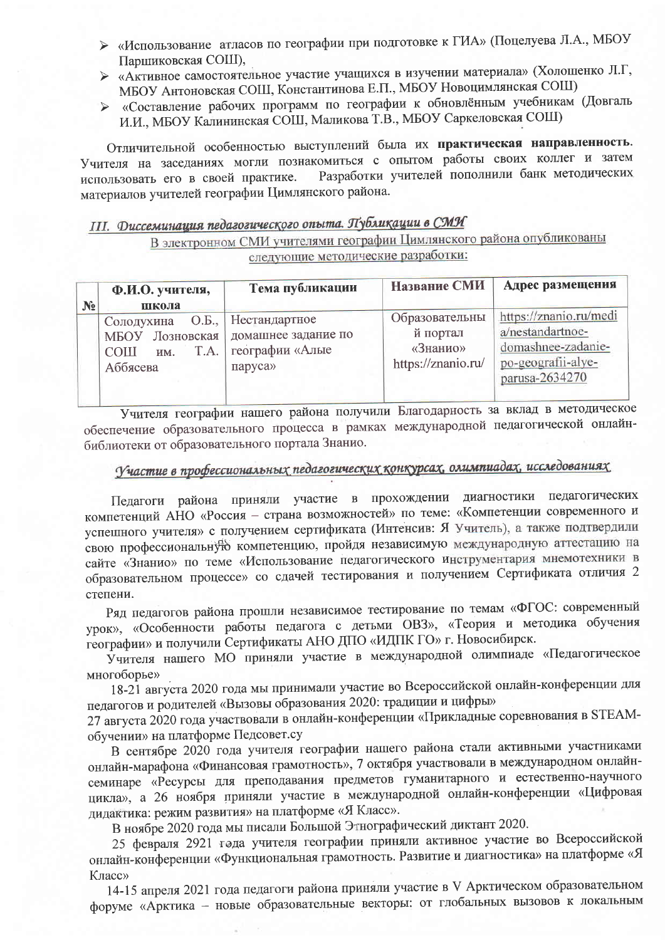- > «Использование атласов по географии при подготовке к ГИА» (Поцелуева Л.А., МБОУ Паршиковская СОШ),
- > «Активное самостоятельное участие учащихся в изучении материала» (Холошенко Л.Г. МБОУ Антоновская СОШ, Константинова Е.П., МБОУ Новоцимлянская СОШ)
- «Составление рабочих программ по географии к обновлённым учебникам (Довгаль И.И., МБОУ Калининская СОШ, Маликова Т.В., МБОУ Саркеловская СОШ)

Отличительной особенностью выступлений была их практическая направленность. Учителя на заседаниях могли познакомиться с опытом работы своих коллег и затем Разработки учителей пополнили банк методических использовать его в своей практике. материалов учителей географии Цимлянского района.

## III. Фиссеминация педагогического опыта. Публикации в СМИ

В электронном СМИ учителями географии Цимлянского района опубликованы следующие методические разработки:

|                | Ф.И.О. учителя,                                                               | Тема публикации                                                    | Название СМИ                                                 | Адрес размещения                                                                                         |
|----------------|-------------------------------------------------------------------------------|--------------------------------------------------------------------|--------------------------------------------------------------|----------------------------------------------------------------------------------------------------------|
| N <sub>2</sub> | школа<br>O.E.,<br>Солодухина<br>МБОУ Лозновская<br>TA.<br>СОШ им.<br>Аббясева | Нестандартное<br>домашнее задание по<br>географии «Алые<br>паруса» | Образовательны<br>й портал<br>«Знанио»<br>https://znanio.ru/ | https://znanio.ru/medi<br>a/nestandartnoe-<br>domashnee-zadanie-<br>po-geografii-alye-<br>parusa-2634270 |

Учителя географии нашего района получили Благодарность за вклад в методическое обеспечение образовательного процесса в рамках международной педагогической онлайнбиблиотеки от образовательного портала Знанио.

# Участие в профессиональных педагогических конкурсах, олимпиадах, исследованиях

Педагоги района приняли участие в прохождении диагностики педагогических компетенций АНО «Россия - страна возможностей» по теме: «Компетенции современного и успешного учителя» с получением сертификата (Интенсив: Я Учитель), а также подтвердили свою профессиональную компетенцию, пройдя независимую международную аттестацию на сайте «Знанио» по теме «Использование педагогического инструментария мнемотехники в образовательном процессе» со сдачей тестирования и получением Сертификата отличия 2 степени.

Ряд педагогов района прошли независимое тестирование по темам «ФГОС: современный урок», «Особенности работы педагога с детьми ОВЗ», «Теория и методика обучения географии» и получили Сертификаты АНО ДПО «ИДПК ГО» г. Новосибирск.

Учителя нашего МО приняли участие в международной олимпиаде «Педагогическое многоборье»

18-21 августа 2020 года мы принимали участие во Всероссийской онлайн-конференции для педагогов и родителей «Вызовы образования 2020: традиции и цифры»

27 августа 2020 года участвовали в онлайн-конференции «Прикладные соревнования в STEAMобучении» на платформе Педсовет.су

В сентябре 2020 года учителя географии нашего района стали активными участниками онлайн-марафона «Финансовая грамотность», 7 октября участвовали в международном онлайнсеминаре «Ресурсы для преподавания предметов гуманитарного и естественно-научного цикла», а 26 ноября приняли участие в международной онлайн-конференции «Цифровая дидактика: режим развития» на платформе «Я Класс».

В ноябре 2020 года мы писали Большой Этнографический диктант 2020.

25 февраля 2921 года учителя географии приняли активное участие во Всероссийской онлайн-конференции «Функциональная грамотность. Развитие и диагностика» на платформе «Я Класс»

14-15 апреля 2021 года педагоги района приняли участие в V Арктическом образовательном форуме «Арктика - новые образовательные векторы: от глобальных вызовов к локальным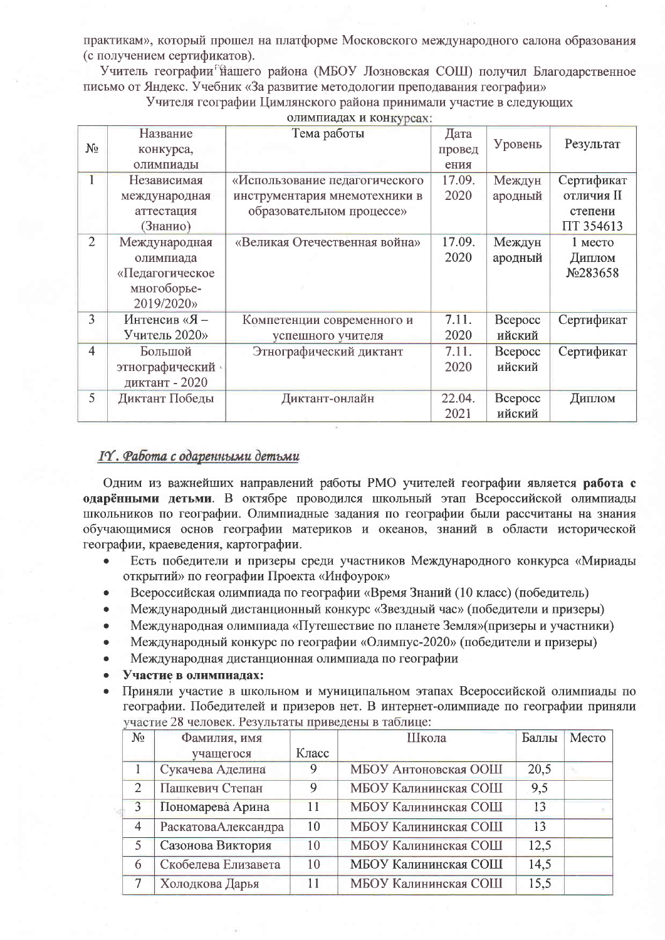практикам», который прошел на платформе Московского международного салона образования (с получением сертификатов).

Учитель географии<sup>е</sup>нашего района (МБОУ Лозновская СОШ) получил Благодарственное письмо от Яндекс. Учебник «За развитие методологии преподавания географии»

|                | Название        | Тема работы                    | Дата   | Уровень | Результат  |
|----------------|-----------------|--------------------------------|--------|---------|------------|
| $N_2$          | конкурса,       |                                | провед |         |            |
|                | олимпиады       |                                | ения   |         |            |
| $\overline{1}$ | Независимая     | «Использование педагогического | 17.09. | Междун  | Сертификат |
|                | международная   | инструментария мнемотехники в  | 2020   | ародный | ОТЛИЧИЯ II |
|                | аттестация      | образовательном процессе»      |        |         | степени    |
|                | (Знанио)        |                                |        |         | ПТ 354613  |
| $\overline{2}$ | Международная   | «Великая Отечественная война»  | 17.09. | Междун  | $1$ MecTO  |
|                | олимпиада       |                                | 2020   | ародный | Диплом     |
|                | «Педагогическое |                                |        |         | No283658   |
|                | многоборье-     |                                |        |         |            |
|                | 2019/2020»      |                                |        |         |            |
| 3              | Интенсив «Я -   | Компетенции современного и     | 7.11.  | Beepocc | Сертификат |
|                | Учитель 2020»   | успешного учителя              | 2020   | ийский  |            |
| $\overline{4}$ | Большой         | Этнографический диктант        | 7.11.  | Beepocc | Сертификат |
|                | этнографический |                                | 2020   | ийский  |            |
|                | диктант - 2020  |                                |        |         |            |
| 5              | Диктант Победы  | Диктант-онлайн                 | 22.04. | Bcepocc | Диплом     |
|                |                 |                                | 2021   | ийский  |            |

Учителя географии Цимлянского района принимали участие в следующих олимпиалах и конкурсах:

### IY. Работа с одаренными детьми

Одним из важнейших направлений работы РМО учителей географии является работа с одарёнными детьми. В октябре проводился школьный этап Всероссийской олимпиады школьников по географии. Олимпиадные задания по географии были рассчитаны на знания обучающимися основ географии материков и океанов, знаний в области исторической географии, краеведения, картографии.

- Есть победители и призеры среди участников Международного конкурса «Мириады  $\bullet$ открытий» по географии Проекта «Инфоурок»
- Всероссийская олимпиада по географии «Время Знаний (10 класс) (победитель)
- Международный дистанционный конкурс «Звездный час» (победители и призеры)
- Международная олимпиада «Путешествие по планете Земля» (призеры и участники)
- Международный конкурс по географии «Олимпус-2020» (победители и призеры)
- Международная дистанционная олимпиада по географии
- Участие в олимпиадах:
- Приняли участие в школьном и муниципальном этапах Всероссийской олимпиады по географии. Победителей и призеров нет. В интернет-олимпиаде по географии приняли участие 28 человек. Результаты приведены в таблице:

| $N_2$                    | Фамилия, имя        |             | Школа                | Баллы | Место |
|--------------------------|---------------------|-------------|----------------------|-------|-------|
|                          | учащегося           | Класс       |                      |       |       |
|                          | Сукачева Аделина    | 9           | МБОУ Антоновская ООШ | 20,5  |       |
| $\mathcal{D}$            | Пашкевич Степан     | $\mathbf Q$ | МБОУ Калининская СОШ | 9,5   |       |
| 3                        | Пономарева Арина    | 11          | МБОУ Калининская СОШ | 13    |       |
| 4                        | РаскатоваАлександра | 10          | МБОУ Калининская СОШ | 13    |       |
| $\overline{\mathcal{L}}$ | Сазонова Виктория   | 10          | МБОУ Калининская СОШ | 12,5  |       |
| 6                        | Скобелева Елизавета | 10          | МБОУ Калининская СОШ | 14,5  |       |
|                          | Холодкова Дарья     | 11          | МБОУ Калининская СОШ | 15,5  |       |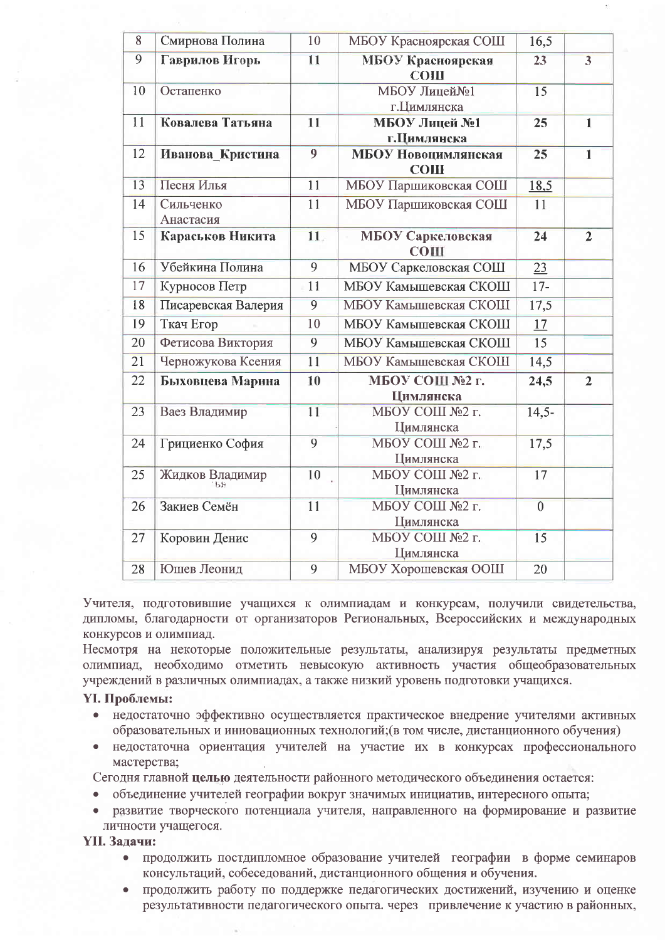| 8<br>9<br>10<br>11 | Смирнова Полина<br>Гаврилов Игорь | 10<br>$\overline{11}$ | МБОУ Красноярская СОШ<br>МБОУ Красноярская | 16,5            |                         |
|--------------------|-----------------------------------|-----------------------|--------------------------------------------|-----------------|-------------------------|
|                    |                                   |                       |                                            |                 |                         |
|                    |                                   |                       | <b>COIII</b>                               | 23              | $\overline{\mathbf{3}}$ |
|                    | Остапенко                         |                       | МБОУ Лицей№1<br>г.Цимлянска                | 15              |                         |
|                    | Ковалева Татьяна                  | 11                    | МБОУ Лицей №1<br>г.Цимлянска               | 25              | $\mathbf{1}$            |
| 12                 | Иванова_Кристина                  | 9                     | МБОУ Новоцимлянская<br><b>COIII</b>        | 25              | $\mathbf{I}$            |
| 13                 | Песня Илья                        | 11                    | МБОУ Паршиковская СОШ                      | 18,5            |                         |
| 14                 | Сильченко<br>Анастасия            | 11                    | МБОУ Паршиковская СОШ                      | 11              |                         |
| 15                 | Караськов Никита                  | $\overline{11}$       | МБОУ Саркеловская<br><b>COIII</b>          | 24              | $\overline{2}$          |
| 16                 | Убейкина Полина                   | 9                     | МБОУ Саркеловская СОШ                      | 23              |                         |
| 17                 | Курносов Петр                     | $\overline{11}$       | МБОУ Камышевская СКОШ                      | $17-$           |                         |
| 18                 | Писаревская Валерия               | 9                     | МБОУ Камышевская СКОШ                      | 17,5            |                         |
| 19                 | Ткач Егор                         | 10                    | МБОУ Камышевская СКОШ                      | 17              |                         |
| 20                 | Фетисова Виктория                 | 9                     | МБОУ Камышевская СКОШ                      | $\overline{15}$ |                         |
| 21                 | Черножукова Ксения                | 11                    | МБОУ Камышевская СКОШ                      | 14,5            |                         |
| 22                 | Быховцева Марина                  | 10                    | МБОУ СОШ №2 г.<br>Цимлянска                | 24,5            | $\overline{2}$          |
| 23                 | Ваез Владимир                     | $\overline{11}$       | МБОУ СОШ №2 г.<br>Цимлянска                | $14,5-$         |                         |
| 24                 | Грициенко София                   | 9                     | МБОУ СОШ №2 г.<br>Цимлянска                | 17,5            |                         |
| 25                 | Жидков Владимир                   | 10                    | МБОУ СОШ №2 г.<br>Цимлянска                | 17              |                         |
| 26                 | Закиев Семён                      | 11                    | МБОУ СОШ №2 г.<br>Цимлянска                | $\overline{0}$  |                         |
| 27                 | Коровин Денис                     | 9                     | МБОУ СОШ №2 г.<br>Цимлянска                | 15              |                         |
| 28                 | Юшев Леонид                       | $\overline{9}$        | МБОУ Хорошевская ООШ                       | 20              |                         |

Учителя, подготовившие учащихся к олимпиадам и конкурсам, получили свидетельства, дипломы, благодарности от организаторов Региональных, Всероссийских и международных конкурсов и олимпиад.

Несмотря на некоторые положительные результаты, анализируя результаты предметных олимпиад, необходимо отметить невысокую активность участия общеобразовательных учреждений в различных олимпиадах, а также низкий уровень подготовки учащихся.

### **YI.** Проблемы:

- недостаточно эффективно осуществляется практическое внедрение учителями активных образовательных и инновационных технологий; (в том числе, дистанционного обучения)
- недостаточна ориентация учителей на участие их в конкурсах профессионального  $\bullet$ мастерства;

Сегодня главной целью деятельности районного методического объединения остается:

- объединение учителей географии вокруг значимых инициатив, интересного опыта;
- развитие творческого потенциала учителя, направленного на формирование и развитие личности учащегося.

### **YII.** Задачи:

- продолжить постдипломное образование учителей географии в форме семинаров консультаций, собеседований, дистанционного общения и обучения.
- продолжить работу по поддержке педагогических достижений, изучению и оценке результативности педагогического опыта. через привлечение к участию в районных,